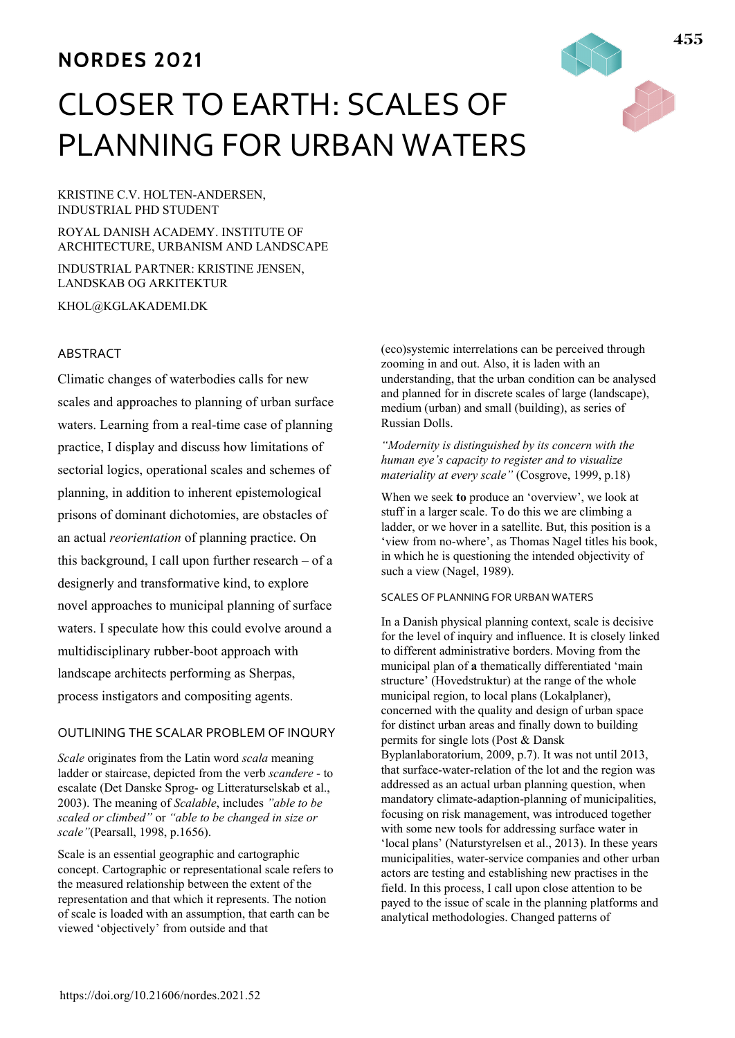# **NORDES 2021**

# CLOSER TO EARTH: SCALES OF PLANNING FOR URBAN WATERS

KRISTINE C.V. HOLTEN-ANDERSEN, INDUSTRIAL PHD STUDENT

ROYAL DANISH ACADEMY. INSTITUTE OF ARCHITECTURE, URBANISM AND LANDSCAPE

INDUSTRIAL PARTNER: KRISTINE JENSEN, LANDSKAB OG ARKITEKTUR

KHOL@KGLAKADEMI.DK

#### ABSTRACT

Climatic changes of waterbodies calls for new scales and approaches to planning of urban surface waters. Learning from a real-time case of planning practice, I display and discuss how limitations of sectorial logics, operational scales and schemes of planning, in addition to inherent epistemological prisons of dominant dichotomies, are obstacles of an actual *reorientation* of planning practice. On this background, I call upon further research – of a designerly and transformative kind, to explore novel approaches to municipal planning of surface waters. I speculate how this could evolve around a multidisciplinary rubber-boot approach with landscape architects performing as Sherpas, process instigators and compositing agents.

#### OUTLINING THE SCALAR PROBLEM OF INQURY

*Scale* originates from the Latin word *scala* meaning ladder or staircase, depicted from the verb *scandere* - to escalate (Det Danske Sprog- og Litteraturselskab et al., 2003). The meaning of *Scalable*, includes *"able to be scaled or climbed"* or *"able to be changed in size or scale"*(Pearsall, 1998, p.1656).

Scale is an essential geographic and cartographic concept. Cartographic or representational scale refers to the measured relationship between the extent of the representation and that which it represents. The notion of scale is loaded with an assumption, that earth can be viewed 'objectively' from outside and that

(eco)systemic interrelations can be perceived through zooming in and out. Also, it is laden with an understanding, that the urban condition can be analysed and planned for in discrete scales of large (landscape), medium (urban) and small (building), as series of Russian Dolls.

#### *"Modernity is distinguished by its concern with the human eye's capacity to register and to visualize materiality at every scale"* (Cosgrove, 1999, p.18)

When we seek **to** produce an 'overview', we look at stuff in a larger scale. To do this we are climbing a ladder, or we hover in a satellite. But, this position is a 'view from no-where', as Thomas Nagel titles his book, in which he is questioning the intended objectivity of such a view (Nagel, 1989).

#### SCALES OF PLANNING FOR URBAN WATERS

In a Danish physical planning context, scale is decisive for the level of inquiry and influence. It is closely linked to different administrative borders. Moving from the municipal plan of **a** thematically differentiated 'main structure' (Hovedstruktur) at the range of the whole municipal region, to local plans (Lokalplaner), concerned with the quality and design of urban space for distinct urban areas and finally down to building permits for single lots (Post & Dansk Byplanlaboratorium, 2009, p.7). It was not until 2013, that surface-water-relation of the lot and the region was addressed as an actual urban planning question, when mandatory climate-adaption-planning of municipalities, focusing on risk management, was introduced together with some new tools for addressing surface water in 'local plans' (Naturstyrelsen et al., 2013). In these years municipalities, water-service companies and other urban actors are testing and establishing new practises in the field. In this process, I call upon close attention to be payed to the issue of scale in the planning platforms and analytical methodologies. Changed patterns of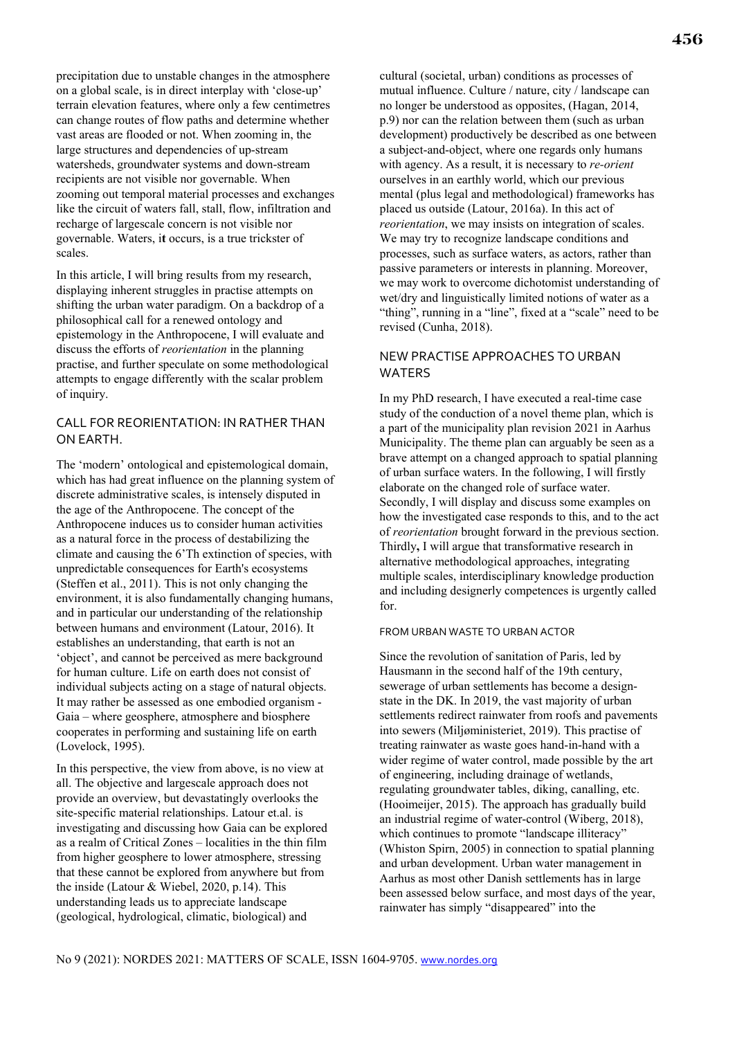precipitation due to unstable changes in the atmosphere on a global scale, is in direct interplay with 'close-up' terrain elevation features, where only a few centimetres can change routes of flow paths and determine whether vast areas are flooded or not. When zooming in, the large structures and dependencies of up-stream watersheds, groundwater systems and down-stream recipients are not visible nor governable. When zooming out temporal material processes and exchanges like the circuit of waters fall, stall, flow, infiltration and recharge of largescale concern is not visible nor governable. Waters, i**t** occurs, is a true trickster of scales.

In this article, I will bring results from my research, displaying inherent struggles in practise attempts on shifting the urban water paradigm. On a backdrop of a philosophical call for a renewed ontology and epistemology in the Anthropocene, I will evaluate and discuss the efforts of *reorientation* in the planning practise, and further speculate on some methodological attempts to engage differently with the scalar problem of inquiry.

## CALL FOR REORIENTATION: IN RATHER THAN ON EARTH.

The 'modern' ontological and epistemological domain, which has had great influence on the planning system of discrete administrative scales, is intensely disputed in the age of the Anthropocene. The concept of the Anthropocene induces us to consider human activities as a natural force in the process of destabilizing the climate and causing the 6'Th extinction of species, with unpredictable consequences for Earth's ecosystems (Steffen et al., 2011). This is not only changing the environment, it is also fundamentally changing humans, and in particular our understanding of the relationship between humans and environment (Latour, 2016). It establishes an understanding, that earth is not an 'object', and cannot be perceived as mere background for human culture. Life on earth does not consist of individual subjects acting on a stage of natural objects. It may rather be assessed as one embodied organism - Gaia – where geosphere, atmosphere and biosphere cooperates in performing and sustaining life on earth (Lovelock, 1995).

In this perspective, the view from above, is no view at all. The objective and largescale approach does not provide an overview, but devastatingly overlooks the site-specific material relationships. Latour et.al. is investigating and discussing how Gaia can be explored as a realm of Critical Zones – localities in the thin film from higher geosphere to lower atmosphere, stressing that these cannot be explored from anywhere but from the inside (Latour & Wiebel, 2020, p.14). This understanding leads us to appreciate landscape (geological, hydrological, climatic, biological) and

cultural (societal, urban) conditions as processes of mutual influence. Culture / nature, city / landscape can no longer be understood as opposites, (Hagan, 2014, p.9) nor can the relation between them (such as urban development) productively be described as one between a subject-and-object, where one regards only humans with agency. As a result, it is necessary to *re-orient* ourselves in an earthly world, which our previous mental (plus legal and methodological) frameworks has placed us outside (Latour, 2016a). In this act of *reorientation*, we may insists on integration of scales. We may try to recognize landscape conditions and processes, such as surface waters, as actors, rather than passive parameters or interests in planning. Moreover, we may work to overcome dichotomist understanding of wet/dry and linguistically limited notions of water as a "thing", running in a "line", fixed at a "scale" need to be revised (Cunha, 2018).

### NEW PRACTISE APPROACHES TO URBAN WATERS

In my PhD research, I have executed a real-time case study of the conduction of a novel theme plan, which is a part of the municipality plan revision 2021 in Aarhus Municipality. The theme plan can arguably be seen as a brave attempt on a changed approach to spatial planning of urban surface waters. In the following, I will firstly elaborate on the changed role of surface water. Secondly, I will display and discuss some examples on how the investigated case responds to this, and to the act of *reorientation* brought forward in the previous section. Thirdly**,** I will argue that transformative research in alternative methodological approaches, integrating multiple scales, interdisciplinary knowledge production and including designerly competences is urgently called for.

#### FROM URBAN WASTE TO URBAN ACTOR

Since the revolution of sanitation of Paris, led by Hausmann in the second half of the 19th century, sewerage of urban settlements has become a designstate in the DK. In 2019, the vast majority of urban settlements redirect rainwater from roofs and pavements into sewers (Miljøministeriet, 2019). This practise of treating rainwater as waste goes hand-in-hand with a wider regime of water control, made possible by the art of engineering, including drainage of wetlands, regulating groundwater tables, diking, canalling, etc. (Hooimeijer, 2015). The approach has gradually build an industrial regime of water-control (Wiberg, 2018), which continues to promote "landscape illiteracy" (Whiston Spirn, 2005) in connection to spatial planning and urban development. Urban water management in Aarhus as most other Danish settlements has in large been assessed below surface, and most days of the year, rainwater has simply "disappeared" into the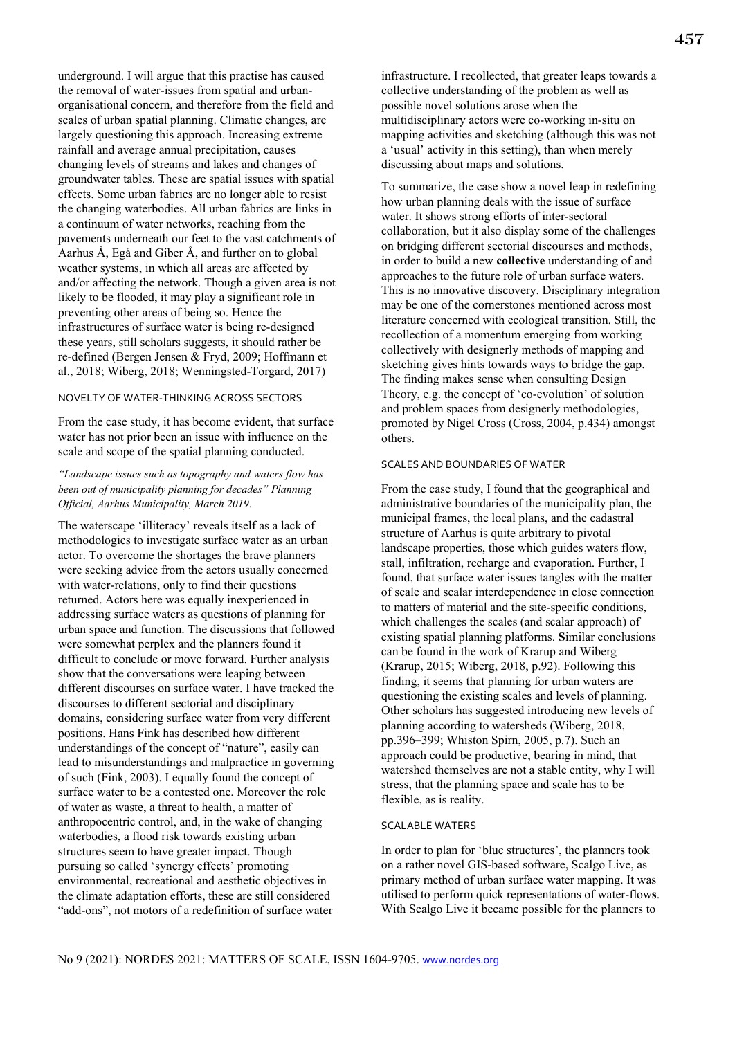underground. I will argue that this practise has caused the removal of water-issues from spatial and urbanorganisational concern, and therefore from the field and scales of urban spatial planning. Climatic changes, are largely questioning this approach. Increasing extreme rainfall and average annual precipitation, causes changing levels of streams and lakes and changes of groundwater tables. These are spatial issues with spatial effects. Some urban fabrics are no longer able to resist the changing waterbodies. All urban fabrics are links in a continuum of water networks, reaching from the pavements underneath our feet to the vast catchments of Aarhus Å, Egå and Giber Å, and further on to global weather systems, in which all areas are affected by and/or affecting the network. Though a given area is not likely to be flooded, it may play a significant role in preventing other areas of being so. Hence the infrastructures of surface water is being re-designed these years, still scholars suggests, it should rather be re-defined (Bergen Jensen & Fryd, 2009; Hoffmann et al., 2018; Wiberg, 2018; Wenningsted-Torgard, 2017)

#### NOVELTY OF WATER-THINKING ACROSS SECTORS

From the case study, it has become evident, that surface water has not prior been an issue with influence on the scale and scope of the spatial planning conducted.

#### *"Landscape issues such as topography and waters flow has been out of municipality planning for decades" Planning Official, Aarhus Municipality, March 2019*.

The waterscape 'illiteracy' reveals itself as a lack of methodologies to investigate surface water as an urban actor. To overcome the shortages the brave planners were seeking advice from the actors usually concerned with water-relations, only to find their questions returned. Actors here was equally inexperienced in addressing surface waters as questions of planning for urban space and function. The discussions that followed were somewhat perplex and the planners found it difficult to conclude or move forward. Further analysis show that the conversations were leaping between different discourses on surface water. I have tracked the discourses to different sectorial and disciplinary domains, considering surface water from very different positions. Hans Fink has described how different understandings of the concept of "nature", easily can lead to misunderstandings and malpractice in governing of such (Fink, 2003). I equally found the concept of surface water to be a contested one. Moreover the role of water as waste, a threat to health, a matter of anthropocentric control, and, in the wake of changing waterbodies, a flood risk towards existing urban structures seem to have greater impact. Though pursuing so called 'synergy effects' promoting environmental, recreational and aesthetic objectives in the climate adaptation efforts, these are still considered "add-ons", not motors of a redefinition of surface water

infrastructure. I recollected, that greater leaps towards a collective understanding of the problem as well as possible novel solutions arose when the multidisciplinary actors were co-working in-situ on mapping activities and sketching (although this was not a 'usual' activity in this setting), than when merely discussing about maps and solutions.

To summarize, the case show a novel leap in redefining how urban planning deals with the issue of surface water. It shows strong efforts of inter-sectoral collaboration, but it also display some of the challenges on bridging different sectorial discourses and methods, in order to build a new **collective** understanding of and approaches to the future role of urban surface waters. This is no innovative discovery. Disciplinary integration may be one of the cornerstones mentioned across most literature concerned with ecological transition. Still, the recollection of a momentum emerging from working collectively with designerly methods of mapping and sketching gives hints towards ways to bridge the gap. The finding makes sense when consulting Design Theory, e.g. the concept of 'co-evolution' of solution and problem spaces from designerly methodologies, promoted by Nigel Cross (Cross, 2004, p.434) amongst others.

#### SCALES AND BOUNDARIES OF WATER

From the case study, I found that the geographical and administrative boundaries of the municipality plan, the municipal frames, the local plans, and the cadastral structure of Aarhus is quite arbitrary to pivotal landscape properties, those which guides waters flow, stall, infiltration, recharge and evaporation. Further, I found, that surface water issues tangles with the matter of scale and scalar interdependence in close connection to matters of material and the site-specific conditions, which challenges the scales (and scalar approach) of existing spatial planning platforms. **S**imilar conclusions can be found in the work of Krarup and Wiberg (Krarup, 2015; Wiberg, 2018, p.92). Following this finding, it seems that planning for urban waters are questioning the existing scales and levels of planning. Other scholars has suggested introducing new levels of planning according to watersheds (Wiberg, 2018, pp.396–399; Whiston Spirn, 2005, p.7). Such an approach could be productive, bearing in mind, that watershed themselves are not a stable entity, why I will stress, that the planning space and scale has to be flexible, as is reality.

#### SCALABLE WATERS

In order to plan for 'blue structures', the planners took on a rather novel GIS-based software, Scalgo Live, as primary method of urban surface water mapping. It was utilised to perform quick representations of water-flow**s**. With Scalgo Live it became possible for the planners to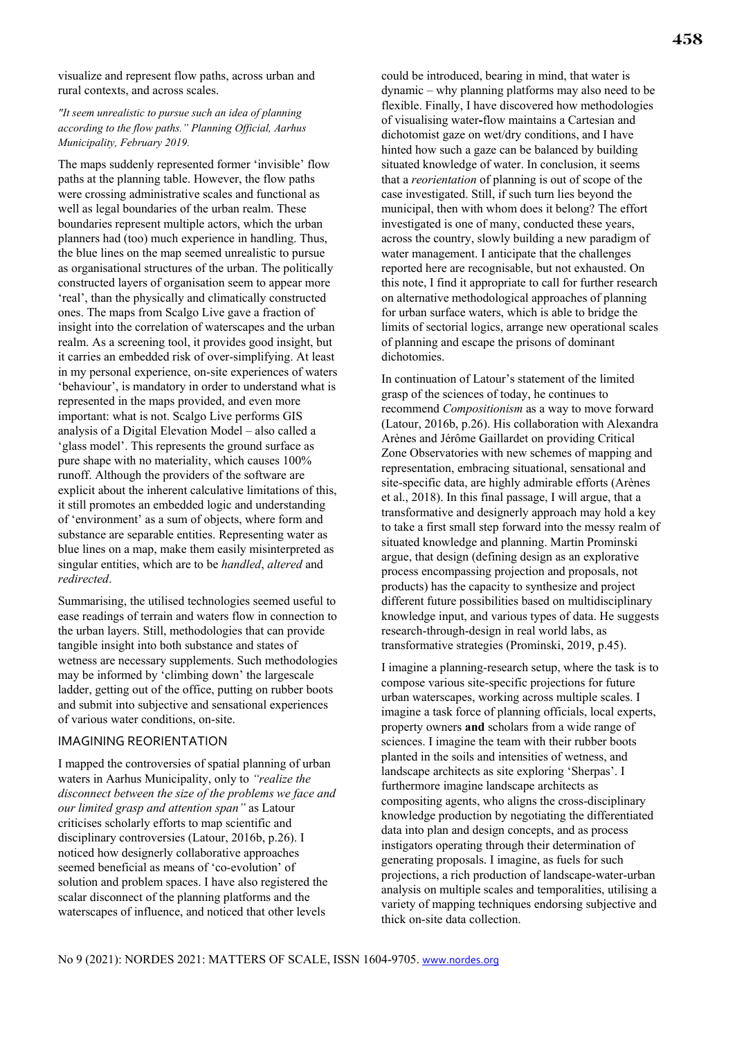visualize and represent flow paths, across urban and rural contexts, and across scales.

*"It seem unrealistic to pursue such an idea of planning according to the flow paths." Planning Official, Aarhus Municipality, February 2019.*

The maps suddenly represented former 'invisible' flow paths at the planning table. However, the flow paths were crossing administrative scales and functional as well as legal boundaries of the urban realm. These boundaries represent multiple actors, which the urban planners had (too) much experience in handling. Thus, the blue lines on the map seemed unrealistic to pursue as organisational structures of the urban. The politically constructed layers of organisation seem to appear more 'real', than the physically and climatically constructed ones. The maps from Scalgo Live gave a fraction of insight into the correlation of waterscapes and the urban realm. As a screening tool, it provides good insight, but it carries an embedded risk of over-simplifying. At least in my personal experience, on-site experiences of waters 'behaviour', is mandatory in order to understand what is represented in the maps provided, and even more important: what is not. Scalgo Live performs GIS analysis of a Digital Elevation Model – also called a 'glass model'. This represents the ground surface as pure shape with no materiality, which causes 100% runoff. Although the providers of the software are explicit about the inherent calculative limitations of this, it still promotes an embedded logic and understanding of 'environment' as a sum of objects, where form and substance are separable entities. Representing water as blue lines on a map, make them easily misinterpreted as singular entities, which are to be *handled*, *altered* and *redirected*.

Summarising, the utilised technologies seemed useful to ease readings of terrain and waters flow in connection to the urban layers. Still, methodologies that can provide tangible insight into both substance and states of wetness are necessary supplements. Such methodologies may be informed by 'climbing down' the largescale ladder, getting out of the office, putting on rubber boots and submit into subjective and sensational experiences of various water conditions, on-site.

#### IMAGINING REORIENTATION

I mapped the controversies of spatial planning of urban waters in Aarhus Municipality, only to *"realize the disconnect between the size of the problems we face and our limited grasp and attention span"* as Latour criticises scholarly efforts to map scientific and disciplinary controversies (Latour, 2016b, p.26). I noticed how designerly collaborative approaches seemed beneficial as means of 'co-evolution' of solution and problem spaces. I have also registered the scalar disconnect of the planning platforms and the waterscapes of influence, and noticed that other levels

could be introduced, bearing in mind, that water is dynamic – why planning platforms may also need to be flexible. Finally, I have discovered how methodologies of visualising water**-**flow maintains a Cartesian and dichotomist gaze on wet/dry conditions, and I have hinted how such a gaze can be balanced by building situated knowledge of water. In conclusion, it seems that a *reorientation* of planning is out of scope of the case investigated. Still, if such turn lies beyond the municipal, then with whom does it belong? The effort investigated is one of many, conducted these years, across the country, slowly building a new paradigm of water management. I anticipate that the challenges reported here are recognisable, but not exhausted. On this note, I find it appropriate to call for further research on alternative methodological approaches of planning for urban surface waters, which is able to bridge the limits of sectorial logics, arrange new operational scales of planning and escape the prisons of dominant dichotomies.

In continuation of Latour's statement of the limited grasp of the sciences of today, he continues to recommend *Compositionism* as a way to move forward (Latour, 2016b, p.26). His collaboration with Alexandra Arènes and Jérôme Gaillardet on providing Critical Zone Observatories with new schemes of mapping and representation, embracing situational, sensational and site-specific data, are highly admirable efforts (Arènes et al., 2018). In this final passage, I will argue, that a transformative and designerly approach may hold a key to take a first small step forward into the messy realm of situated knowledge and planning. Martin Prominski argue, that design (defining design as an explorative process encompassing projection and proposals, not products) has the capacity to synthesize and project different future possibilities based on multidisciplinary knowledge input, and various types of data. He suggests research-through-design in real world labs, as transformative strategies (Prominski, 2019, p.45).

I imagine a planning-research setup, where the task is to compose various site-specific projections for future urban waterscapes, working across multiple scales. I imagine a task force of planning officials, local experts, property owners **and** scholars from a wide range of sciences. I imagine the team with their rubber boots planted in the soils and intensities of wetness, and landscape architects as site exploring 'Sherpas'. I furthermore imagine landscape architects as compositing agents, who aligns the cross-disciplinary knowledge production by negotiating the differentiated data into plan and design concepts, and as process instigators operating through their determination of generating proposals. I imagine, as fuels for such projections, a rich production of landscape-water-urban analysis on multiple scales and temporalities, utilising a variety of mapping techniques endorsing subjective and thick on-site data collection.